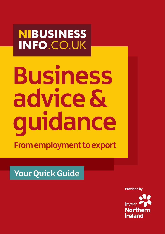**NIBUSINESS INFO.CO.UK** 

# **Business advice & guidance**

**From employment to export**

Your Quick Guide

**Provided by**

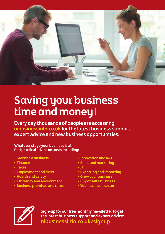

# Saving your business time and money

**Every day thousands of people are accessing nibusinessinfo.co.uk for the latest business support, expert advice and new business opportunities.**

**Whatever stage your business is at, find practical advice on areas including:**

- **Starting a business**
- **Finance**
- **Taxes**
- **Employment and skills**
- **Health and safety**
- **Efficiency and environment**
- **Business premises and rates**
- **Innovation and R&D**
- **Sales and marketing**
- **IT**
- **Exporting and importing**
- **Grow your business**
- **Buy or sell a business**
- **Your business sector**



**Sign-up for our free monthly newsletter to get the latest business support and expert advice: nibusinessinfo.co.uk/signup**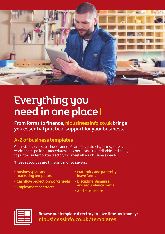

# Everything you need in one place

**From forms to finance, nibusinessinfo.co.uk brings you essential practical support for your business.**

## **A-Z of business templates**

Get instant access to a huge range of sample contracts, forms, letters, worksheets, policies, procedures and checklists. Free, editable and ready to print – our template directory will meet all your business needs.

#### **These resources are time and money savers:**

- **Business plan and marketing templates**
- **Cashflow projection worksheets**
- **Employment contracts**
- **Maternity and paternity leave forms**
- **Discipline, dismissal and redundancy forms**
- **And much more**



**Browse our template directory to save time and money: nibusinessinfo.co.uk/templates**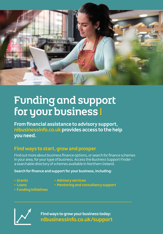

# Funding and support for your business I

**From financial assistance to advisory support, nibusinessinfo.co.uk provides access to the help you need.**

### **Find ways to start, grow and prosper**

Find out more about business finance options, or search for finance schemes in your area, for your type of business. Access the Business Support Finder a searchable directory of schemes available in Northern Ireland.

**Search for finance and support for your business, including:**

**• Grants • Loans**

- **Advisory services**
- **Mentoring and consultancy support**
- **Funding initiatives**



**Find ways to grow your business today: nibusinessinfo.co.uk/support**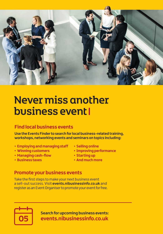

## Never miss another business event

#### **Find local business events**

**Use the Events Finder to search for local business-related training, workshops, networking events and seminars on topics including:**

- **Employing and managing staff**
- **Winning customers**
- **Managing cash-flow**
- **Business taxes**
- **Selling online**
- **Improving performance**
- **Starting up**
- **And much more**

#### **Promote your business events**

Take the first steps to make your next business event a sell-out success. Visit **events.nibusinessinfo.co.uk** and register as an Event Organiser to promote your event for free.



**Search for upcoming business events: events.nibusinessinfo.co.uk**